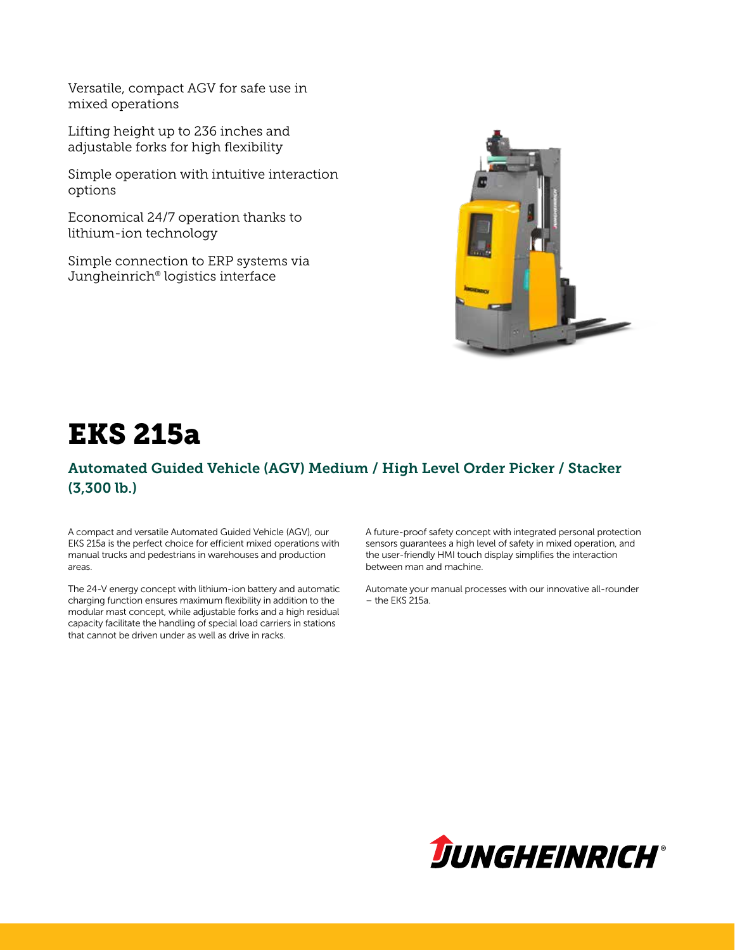Versatile, compact AGV for safe use in mixed operations

Lifting height up to 236 inches and adjustable forks for high flexibility

Simple operation with intuitive interaction options

Economical 24/7 operation thanks to lithium-ion technology

Simple connection to ERP systems via Jungheinrich® logistics interface



# EKS 215a

#### Automated Guided Vehicle (AGV) Medium / High Level Order Picker / Stacker (3,300 lb.)

A compact and versatile Automated Guided Vehicle (AGV), our EKS 215a is the perfect choice for efficient mixed operations with manual trucks and pedestrians in warehouses and production areas.

The 24-V energy concept with lithium-ion battery and automatic charging function ensures maximum flexibility in addition to the modular mast concept, while adjustable forks and a high residual capacity facilitate the handling of special load carriers in stations that cannot be driven under as well as drive in racks.

A future-proof safety concept with integrated personal protection sensors guarantees a high level of safety in mixed operation, and the user-friendly HMI touch display simplifies the interaction between man and machine.

Automate your manual processes with our innovative all-rounder  $-$  the FKS 215a.

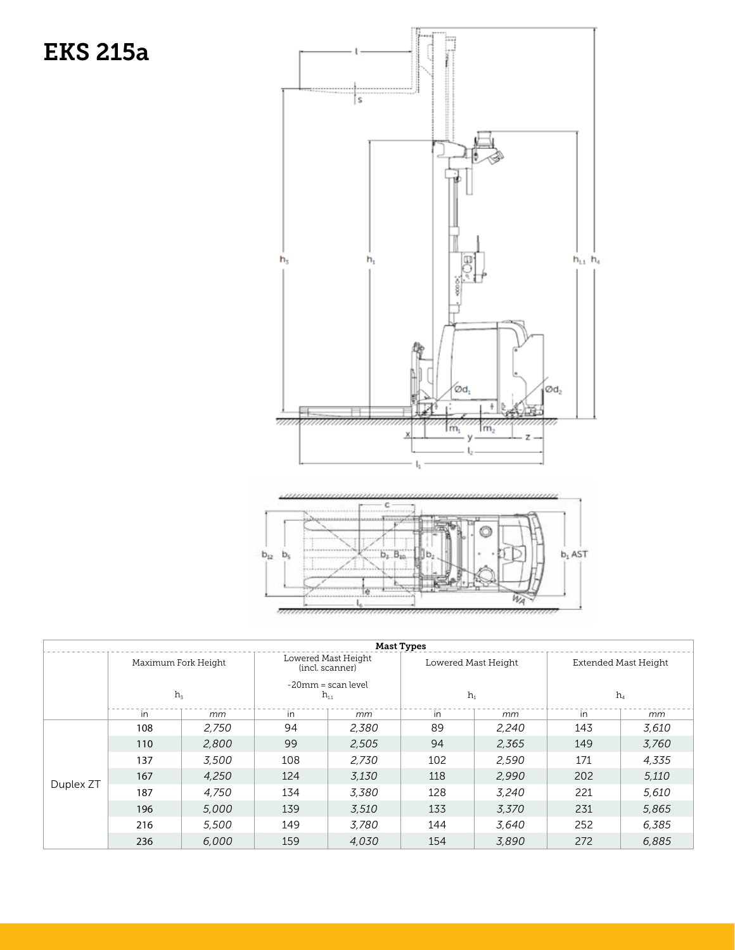# EKS 215a



Wa

|           |                     |       |                                        |       |                     | WAY.  |                      |       |
|-----------|---------------------|-------|----------------------------------------|-------|---------------------|-------|----------------------|-------|
|           |                     |       |                                        |       |                     |       |                      |       |
|           |                     |       |                                        |       |                     |       |                      |       |
|           |                     |       |                                        |       | <b>Mast Types</b>   |       |                      |       |
|           | Maximum Fork Height |       | Lowered Mast Height<br>(incl. scanner) |       | Lowered Mast Height |       | Extended Mast Height |       |
|           |                     |       | -20mm = scan level                     |       |                     |       |                      |       |
|           | $h_3$               |       | $h_{11}$                               |       | $h_1$               |       | $h_4$                |       |
|           | in                  | mm    | in                                     | mm    | in                  | mm    | in                   | mm    |
|           | 108                 | 2,750 | 94                                     | 2,380 | 89                  | 2,240 | 143                  | 3,610 |
|           | 110                 | 2,800 | 99                                     | 2,505 | 94                  | 2,365 | 149                  | 3,760 |
|           | 137                 | 3,500 | 108                                    | 2,730 | 102                 | 2,590 | 171                  | 4,335 |
|           | 167                 | 4,250 | 124                                    | 3,130 | 118                 | 2,990 | 202                  | 5,110 |
| Duplex ZT | 187                 | 4,750 | 134                                    | 3,380 | 128                 | 3,240 | 221                  | 5,610 |
|           | 196                 | 5,000 | 139                                    | 3,510 | 133                 | 3,370 | 231                  | 5,865 |
|           | 216                 | 5,500 | 149                                    | 3,780 | 144                 | 3,640 | 252                  | 6,385 |
|           | 236                 | 6,000 | 159                                    | 4,030 | 154                 | 3,890 | 272                  | 6,885 |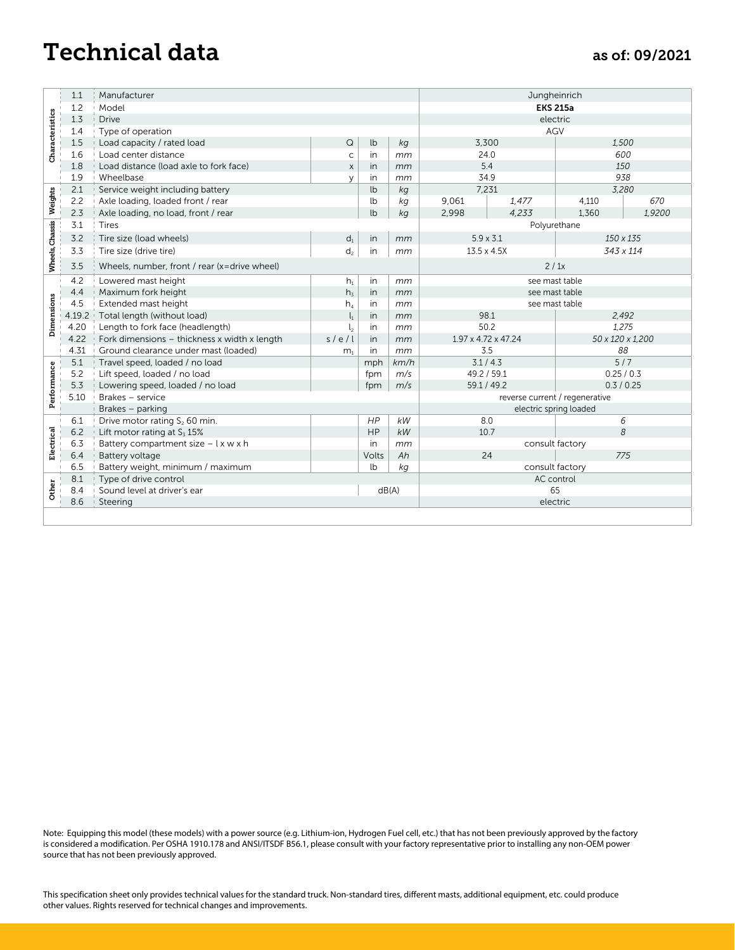## Technical data as of: 09/2021

|                                         | 1.1<br>Manufacturer |                                                                                                                                                                                                                                                                                                                                                                                                                                                                                                                                                  |                       |          |            |                                 | Jungheinrich        |                                |     |  |  |
|-----------------------------------------|---------------------|--------------------------------------------------------------------------------------------------------------------------------------------------------------------------------------------------------------------------------------------------------------------------------------------------------------------------------------------------------------------------------------------------------------------------------------------------------------------------------------------------------------------------------------------------|-----------------------|----------|------------|---------------------------------|---------------------|--------------------------------|-----|--|--|
|                                         | 1.2                 | Model                                                                                                                                                                                                                                                                                                                                                                                                                                                                                                                                            | <b>EKS 215a</b>       |          |            |                                 |                     |                                |     |  |  |
| Characteristics                         | 1.3                 | <b>Drive</b>                                                                                                                                                                                                                                                                                                                                                                                                                                                                                                                                     |                       |          |            | electric<br>AGV                 |                     |                                |     |  |  |
|                                         | 1.4<br>1.5          | Type of operation                                                                                                                                                                                                                                                                                                                                                                                                                                                                                                                                | $\hbox{\large \bf Q}$ | lb       |            | 3,300                           |                     |                                |     |  |  |
|                                         | 1.6                 | Load capacity / rated load<br>Load center distance                                                                                                                                                                                                                                                                                                                                                                                                                                                                                               | $\mathsf{C}$          | in       | kg<br>mm   | 24.0                            |                     | 1,500<br>600                   |     |  |  |
|                                         | 1.8                 | Load distance (load axle to fork face)                                                                                                                                                                                                                                                                                                                                                                                                                                                                                                           | $\mathsf X$           | in       | mm         | 5.4                             |                     | 150                            |     |  |  |
|                                         | 1.9                 | Wheelbase                                                                                                                                                                                                                                                                                                                                                                                                                                                                                                                                        | y                     | in       | mm         | 34.9                            |                     | 938                            |     |  |  |
| 2.1<br>Service weight including battery |                     |                                                                                                                                                                                                                                                                                                                                                                                                                                                                                                                                                  |                       | lb       | kg         | 7,231                           |                     | 3,280                          |     |  |  |
| Weights                                 | 2.2                 | Axle loading, loaded front / rear                                                                                                                                                                                                                                                                                                                                                                                                                                                                                                                |                       | lb       | kg         | 9,061                           | 1,477               | 4,110                          | 670 |  |  |
|                                         | 2.3                 | Axle loading, no load, front / rear                                                                                                                                                                                                                                                                                                                                                                                                                                                                                                              |                       | lb       | kg         | 2,998<br>4,233                  |                     | 1,360<br>1,9200                |     |  |  |
|                                         | 3.1                 | Tires                                                                                                                                                                                                                                                                                                                                                                                                                                                                                                                                            |                       |          |            |                                 |                     | Polyurethane                   |     |  |  |
|                                         | 3.2                 | Tire size (load wheels)                                                                                                                                                                                                                                                                                                                                                                                                                                                                                                                          | $\mathsf{d}_1$        | in       | mm         | $5.9 \times 3.1$<br>13.5 x 4.5X |                     | 150 x 135<br>343 x 114         |     |  |  |
| Wheels, Chassis                         | 3.3                 | Tire size (drive tire)                                                                                                                                                                                                                                                                                                                                                                                                                                                                                                                           | $d_2$                 | in       | mm         |                                 |                     |                                |     |  |  |
|                                         | 3.5                 | Wheels, number, front / rear (x=drive wheel)                                                                                                                                                                                                                                                                                                                                                                                                                                                                                                     |                       |          |            |                                 | 2/1x                |                                |     |  |  |
|                                         | 4.2                 | Lowered mast height                                                                                                                                                                                                                                                                                                                                                                                                                                                                                                                              | $h_1$                 | in       | mm         | see mast table                  |                     |                                |     |  |  |
|                                         | 4.4                 | Maximum fork height                                                                                                                                                                                                                                                                                                                                                                                                                                                                                                                              | $h_3$                 | in       | mm         |                                 |                     | see mast table                 |     |  |  |
| Dimensions                              | 4.5                 | Extended mast height                                                                                                                                                                                                                                                                                                                                                                                                                                                                                                                             | $h_4$                 | in       | mm         |                                 |                     | see mast table                 |     |  |  |
|                                         | 4.19.2              | Total length (without load)                                                                                                                                                                                                                                                                                                                                                                                                                                                                                                                      | $\mathsf{l}_1$        | in       | mm         | 98.1<br>50.2                    |                     | 2,492                          |     |  |  |
|                                         | 4.20<br>4.22        | Length to fork face (headlength)<br>Fork dimensions - thickness x width x length                                                                                                                                                                                                                                                                                                                                                                                                                                                                 | $l_{2}$<br>s/e/l      | in<br>in | mm<br>mm   |                                 | 1.97 x 4.72 x 47.24 | 1,275                          |     |  |  |
|                                         | 4.31                | Ground clearance under mast (loaded)                                                                                                                                                                                                                                                                                                                                                                                                                                                                                                             | m <sub>1</sub>        | in       | mm         |                                 | 3.5                 | 50 x 120 x 1,200<br>88         |     |  |  |
|                                         | $5.1$               | Travel speed, loaded / no load                                                                                                                                                                                                                                                                                                                                                                                                                                                                                                                   |                       | mph      | km/h       |                                 | 3.1 / 4.3           | $\frac{5}{7}$                  |     |  |  |
|                                         | 5.2                 | Lift speed, loaded / no load                                                                                                                                                                                                                                                                                                                                                                                                                                                                                                                     |                       | fpm      | m/s        |                                 | 49.2 / 59.1         | 0.25 / 0.3                     |     |  |  |
|                                         | 5.3                 | Lowering speed, loaded / no load                                                                                                                                                                                                                                                                                                                                                                                                                                                                                                                 |                       | fpm      | m/s        |                                 | 59.1 / 49.2         | 0.3 / 0.25                     |     |  |  |
| Performance                             | 5.10                | Brakes - service                                                                                                                                                                                                                                                                                                                                                                                                                                                                                                                                 |                       |          |            |                                 |                     | reverse current / regenerative |     |  |  |
|                                         |                     | Brakes - parking                                                                                                                                                                                                                                                                                                                                                                                                                                                                                                                                 |                       |          |            |                                 |                     | electric spring loaded         |     |  |  |
|                                         | 6.1<br>$6.2\,$      | Drive motor rating $S_2$ 60 min.<br>Lift motor rating at $S_3$ 15%                                                                                                                                                                                                                                                                                                                                                                                                                                                                               |                       | HP<br>HP | kW<br>$kW$ |                                 | 8.0<br>10.7         | 6<br>8                         |     |  |  |
| Electrical                              | 6.3                 | Battery compartment size - I x w x h                                                                                                                                                                                                                                                                                                                                                                                                                                                                                                             |                       | in       | mm         |                                 |                     | consult factory                |     |  |  |
|                                         | 6.4                 | Battery voltage                                                                                                                                                                                                                                                                                                                                                                                                                                                                                                                                  |                       | Volts    | Ah         |                                 | 24                  | 775                            |     |  |  |
|                                         | 6.5                 | Battery weight, minimum / maximum                                                                                                                                                                                                                                                                                                                                                                                                                                                                                                                |                       | lb       | kg         |                                 |                     | consult factory                |     |  |  |
|                                         |                     |                                                                                                                                                                                                                                                                                                                                                                                                                                                                                                                                                  |                       |          |            |                                 |                     |                                |     |  |  |
|                                         | 8.1                 | Type of drive control                                                                                                                                                                                                                                                                                                                                                                                                                                                                                                                            |                       |          |            |                                 | AC control          |                                |     |  |  |
|                                         | 8.4                 | Sound level at driver's ear                                                                                                                                                                                                                                                                                                                                                                                                                                                                                                                      |                       |          | dB(A)      |                                 |                     | 65                             |     |  |  |
| Other                                   | 8.6                 | Steering                                                                                                                                                                                                                                                                                                                                                                                                                                                                                                                                         |                       |          |            |                                 |                     | electric                       |     |  |  |
|                                         |                     |                                                                                                                                                                                                                                                                                                                                                                                                                                                                                                                                                  |                       |          |            |                                 |                     |                                |     |  |  |
|                                         |                     | Note: Equipping this model (these models) with a power source (e.g. Lithium-ion, Hydrogen Fuel cell, etc.) that has not been previously approved by the factory<br>is considered a modification. Per OSHA 1910.178 and ANSI/ITSDF B56.1, please consult with your factory representative prior to installing any non-OEM power<br>source that has not been previously approved.<br>This specification sheet only provides technical values for the standard truck. Non-standard tires, different masts, additional equipment, etc. could produce |                       |          |            |                                 |                     |                                |     |  |  |